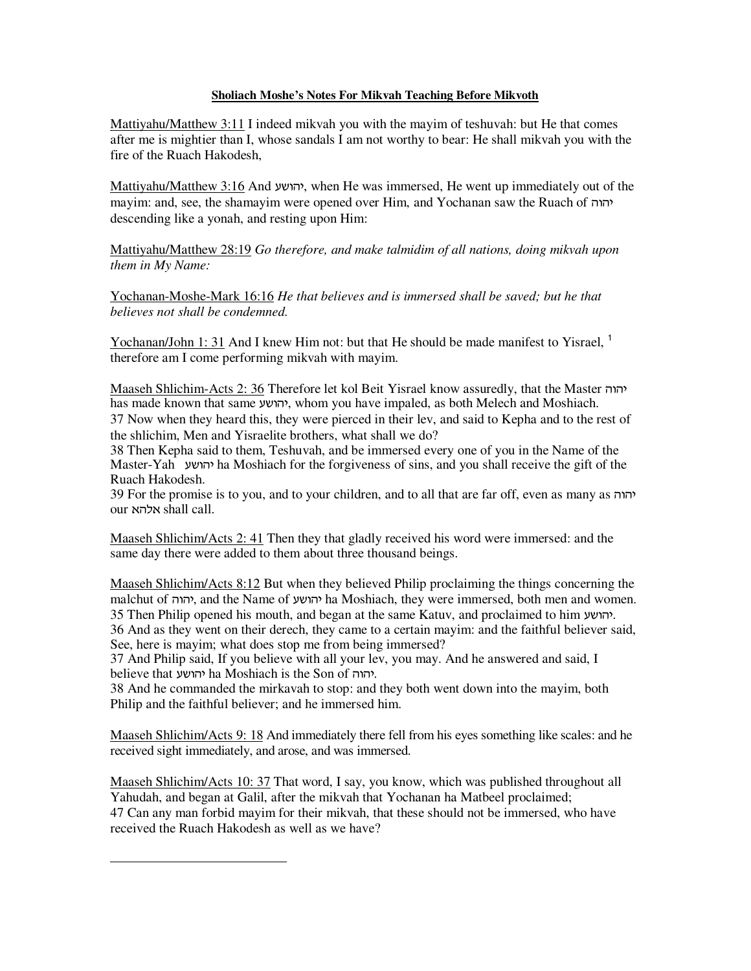## **Sholiach Moshe's Notes For Mikvah Teaching Before Mikvoth**

Mattiyahu/Matthew 3:11 I indeed mikvah you with the mayim of teshuvah: but He that comes after me is mightier than I, whose sandals I am not worthy to bear: He shall mikvah you with the fire of the Ruach Hakodesh,

Mattiyahu/Matthew 3:16 And yvines He was immersed, He went up immediately out of the mayim: and, see, the shamayim were opened over Him, and Yochanan saw the Ruach of  $\eta$ descending like a yonah, and resting upon Him:

Mattiyahu/Matthew 28:19 *Go therefore, and make talmidim of all nations, doing mikvah upon them in My Name:* 

Yochanan-Moshe-Mark 16:16 *He that believes and is immersed shall be saved; but he that believes not shall be condemned.*

Yochanan/John 1: 31 And I knew Him not: but that He should be made manifest to Yisrael,  $\frac{1}{1}$ therefore am I come performing mikvah with mayim.

Maaseh Shlichim-Acts 2: 36 Therefore let kol Beit Yisrael know assuredly, that the Master  $\eta$ has made known that same יהושע, whom you have impaled, as both Melech and Moshiach. 37 Now when they heard this, they were pierced in their lev, and said to Kepha and to the rest of the shlichim, Men and Yisraelite brothers, what shall we do?

38 Then Kepha said to them, Teshuvah, and be immersed every one of you in the Name of the Master-Yah gauvh ha Moshiach for the forgiveness of sins, and you shall receive the gift of the Ruach Hakodesh.

39 For the promise is to you, and to your children, and to all that are far off, even as many as  $\eta$ our אלהא shall call

Maaseh Shlichim/Acts 2: 41 Then they that gladly received his word were immersed: and the same day there were added to them about three thousand beings.

Maaseh Shlichim/Acts 8:12 But when they believed Philip proclaiming the things concerning the malchut of יהוה, and the Name of יהושע ha Moshiach, they were immersed, both men and women. 35 Then Philip opened his mouth, and began at the same Katuv, and proclaimed to him . 36 And as they went on their derech, they came to a certain mayim: and the faithful believer said, See, here is mayim; what does stop me from being immersed?

37 And Philip said, If you believe with all your lev, you may. And he answered and said, I believe that יהושע ha Moshiach is the Son of הווה.

38 And he commanded the mirkavah to stop: and they both went down into the mayim, both Philip and the faithful believer; and he immersed him.

Maaseh Shlichim/Acts 9: 18 And immediately there fell from his eyes something like scales: and he received sight immediately, and arose, and was immersed.

Maaseh Shlichim/Acts 10: 37 That word, I say, you know, which was published throughout all Yahudah, and began at Galil, after the mikvah that Yochanan ha Matbeel proclaimed; 47 Can any man forbid mayim for their mikvah, that these should not be immersed, who have received the Ruach Hakodesh as well as we have?

 $\overline{a}$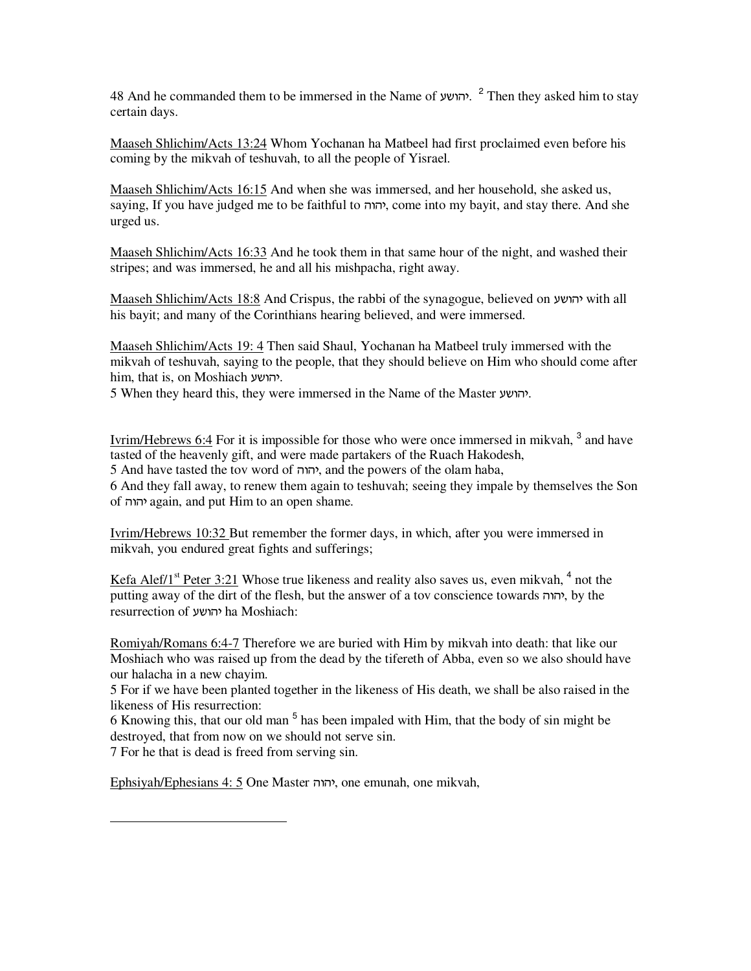48 And he commanded them to be immersed in the Name of יהושע.<sup>2</sup> Then they asked him to stay certain days.

Maaseh Shlichim/Acts 13:24 Whom Yochanan ha Matbeel had first proclaimed even before his coming by the mikvah of teshuvah, to all the people of Yisrael.

Maaseh Shlichim/Acts 16:15 And when she was immersed, and her household, she asked us, saying, If you have judged me to be faithful to יהוה, come into my bayit, and stay there. And she urged us.

Maaseh Shlichim/Acts 16:33 And he took them in that same hour of the night, and washed their stripes; and was immersed, he and all his mishpacha, right away.

Maaseh Shlichim/Acts 18:8 And Crispus, the rabbi of the synagogue, believed on  $y$ with all his bayit; and many of the Corinthians hearing believed, and were immersed.

Maaseh Shlichim/Acts 19: 4 Then said Shaul, Yochanan ha Matbeel truly immersed with the mikvah of teshuvah, saying to the people, that they should believe on Him who should come after him, that is, on Moshiach יהושע.

5 When they heard this, they were immersed in the Name of the Master gauvh.

Ivrim/Hebrews 6:4 For it is impossible for those who were once immersed in mikvah, <sup>3</sup> and have tasted of the heavenly gift, and were made partakers of the Ruach Hakodesh, 5 And have tasted the tov word of יהוה, and the powers of the olam haba, 6 And they fall away, to renew them again to teshuvah; seeing they impale by themselves the Son of vuvh again, and put Him to an open shame.

Ivrim/Hebrews 10:32 But remember the former days, in which, after you were immersed in mikvah, you endured great fights and sufferings;

Kefa Alef/1<sup>st</sup> Peter 3:21 Whose true likeness and reality also saves us, even mikvah,  $4$  not the putting away of the dirt of the flesh, but the answer of a tov conscience towards יהוה, by the resurrection of יהושע ha Moshiach:

Romiyah/Romans 6:4-7 Therefore we are buried with Him by mikvah into death: that like our Moshiach who was raised up from the dead by the tifereth of Abba, even so we also should have our halacha in a new chayim.

5 For if we have been planted together in the likeness of His death, we shall be also raised in the likeness of His resurrection:

6 Knowing this, that our old man <sup>5</sup> has been impaled with Him, that the body of sin might be destroyed, that from now on we should not serve sin.

7 For he that is dead is freed from serving sin.

 $\overline{a}$ 

Ephsiyah/Ephesians 4: 5 One Master יהוה, one emunah, one mikvah,